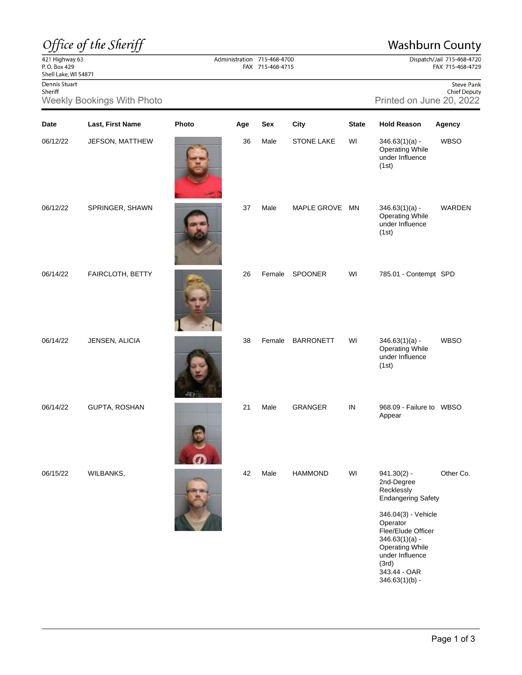## Office of the Sheriff

## **Washburn County**

Dispatch/Jail 715-468-4720<br>FAX 715-468-4729

421 Highway 63<br>P.O. Box 429<br>Shell Lake, WI 54871

Dennis Stuart Sheriff

Weekly Bookings With Photo **Printed on June 20, 2022** Printed on June 20,

|  | <b>Steve Pank</b>   |                     |  |  |  |
|--|---------------------|---------------------|--|--|--|
|  | <b>Chief Deputy</b> |                     |  |  |  |
|  |                     | d on June 20. 2022. |  |  |  |

| Date     | Last, First Name | Photo | Age | Sex    | City              | <b>State</b> | <b>Hold Reason</b>                                                                                                                                                                                                        | Agency      |
|----------|------------------|-------|-----|--------|-------------------|--------------|---------------------------------------------------------------------------------------------------------------------------------------------------------------------------------------------------------------------------|-------------|
| 06/12/22 | JEFSON, MATTHEW  |       | 36  | Male   | <b>STONE LAKE</b> | WI           | $346.63(1)(a) -$<br><b>Operating While</b><br>under Influence<br>(1st)                                                                                                                                                    | <b>WBSO</b> |
| 06/12/22 | SPRINGER, SHAWN  |       | 37  | Male   | MAPLE GROVE MN    |              | $346.63(1)(a) -$<br><b>Operating While</b><br>under Influence<br>(1st)                                                                                                                                                    | WARDEN      |
| 06/14/22 | FAIRCLOTH, BETTY |       | 26  | Female | SPOONER           | WI           | 785.01 - Contempt SPD                                                                                                                                                                                                     |             |
| 06/14/22 | JENSEN, ALICIA   |       | 38  | Female | <b>BARRONETT</b>  | WI           | $346.63(1)(a) -$<br><b>Operating While</b><br>under Influence<br>(1st)                                                                                                                                                    | <b>WBSO</b> |
| 06/14/22 | GUPTA, ROSHAN    |       | 21  | Male   | <b>GRANGER</b>    | IN           | 968.09 - Failure to WBSO<br>Appear                                                                                                                                                                                        |             |
| 06/15/22 | WILBANKS,        |       | 42  | Male   | <b>HAMMOND</b>    | WI           | $941.30(2) -$<br>2nd-Degree<br>Recklessly<br><b>Endangering Safety</b><br>346.04(3) - Vehicle<br>Operator<br>Flee/Elude Officer<br>$346.63(1)(a) -$<br><b>Operating While</b><br>under Influence<br>(3rd)<br>343.44 - OAR | Other Co.   |

Administration 715-468-4700 FAX 715-468-4715

346.63(1)(b) -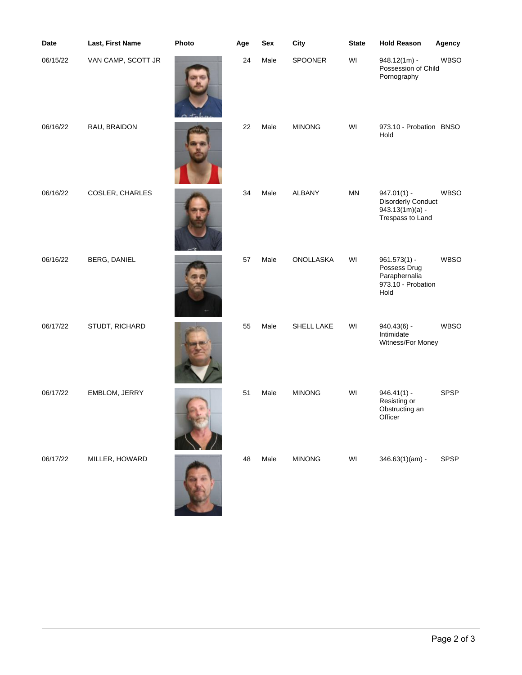| Date     | Last, First Name   | Photo | Age | Sex  | City          | <b>State</b> | <b>Hold Reason</b>                                                                  | Agency      |
|----------|--------------------|-------|-----|------|---------------|--------------|-------------------------------------------------------------------------------------|-------------|
| 06/15/22 | VAN CAMP, SCOTT JR |       | 24  | Male | SPOONER       | WI           | $948.12(1m)$ -<br>Possession of Child<br>Pornography                                | <b>WBSO</b> |
| 06/16/22 | RAU, BRAIDON       |       | 22  | Male | <b>MINONG</b> | WI           | 973.10 - Probation BNSO<br>Hold                                                     |             |
| 06/16/22 | COSLER, CHARLES    |       | 34  | Male | <b>ALBANY</b> | <b>MN</b>    | $947.01(1) -$<br><b>Disorderly Conduct</b><br>$943.13(1m)(a) -$<br>Trespass to Land | <b>WBSO</b> |
| 06/16/22 | BERG, DANIEL       |       | 57  | Male | ONOLLASKA     | WI           | $961.573(1) -$<br>Possess Drug<br>Paraphernalia<br>973.10 - Probation<br>Hold       | <b>WBSO</b> |
| 06/17/22 | STUDT, RICHARD     |       | 55  | Male | SHELL LAKE    | WI           | $940.43(6) -$<br>Intimidate<br>Witness/For Money                                    | <b>WBSO</b> |
| 06/17/22 | EMBLOM, JERRY      |       | 51  | Male | <b>MINONG</b> | WI           | $946.41(1) -$<br>Resisting or<br>Obstructing an<br>Officer                          | <b>SPSP</b> |
| 06/17/22 | MILLER, HOWARD     |       | 48  | Male | <b>MINONG</b> | WI           | $346.63(1)(am) -$                                                                   | SPSP        |